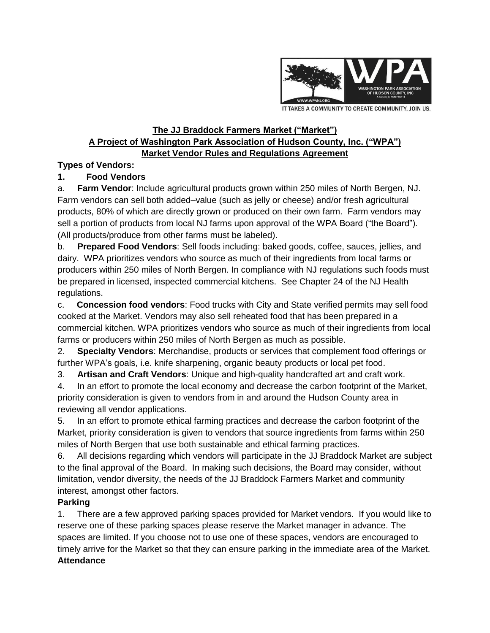

IT TAKES A COMMUNITY TO CREATE COMMUNITY. JOIN US.

#### **The JJ Braddock Farmers Market ("Market") A Project of Washington Park Association of Hudson County, Inc. ("WPA") Market Vendor Rules and Regulations Agreement**

### **Types of Vendors:**

# **1. Food Vendors**

a. **Farm Vendor**: Include agricultural products grown within 250 miles of North Bergen, NJ. Farm vendors can sell both added–value (such as jelly or cheese) and/or fresh agricultural products, 80% of which are directly grown or produced on their own farm. Farm vendors may sell a portion of products from local NJ farms upon approval of the WPA Board ("the Board"). (All products/produce from other farms must be labeled).

b. **Prepared Food Vendors**: Sell foods including: baked goods, coffee, sauces, jellies, and dairy. WPA prioritizes vendors who source as much of their ingredients from local farms or producers within 250 miles of North Bergen. In compliance with NJ regulations such foods must be prepared in licensed, inspected commercial kitchens. See Chapter 24 of the NJ Health regulations.

c. **Concession food vendors**: Food trucks with City and State verified permits may sell food cooked at the Market. Vendors may also sell reheated food that has been prepared in a commercial kitchen. WPA prioritizes vendors who source as much of their ingredients from local farms or producers within 250 miles of North Bergen as much as possible.

2. **Specialty Vendors**: Merchandise, products or services that complement food offerings or further WPA's goals, i.e. knife sharpening, organic beauty products or local pet food.

3. **Artisan and Craft Vendors**: Unique and high-quality handcrafted art and craft work.

4. In an effort to promote the local economy and decrease the carbon footprint of the Market, priority consideration is given to vendors from in and around the Hudson County area in reviewing all vendor applications.

5. In an effort to promote ethical farming practices and decrease the carbon footprint of the Market, priority consideration is given to vendors that source ingredients from farms within 250 miles of North Bergen that use both sustainable and ethical farming practices.

6. All decisions regarding which vendors will participate in the JJ Braddock Market are subject to the final approval of the Board. In making such decisions, the Board may consider, without limitation, vendor diversity, the needs of the JJ Braddock Farmers Market and community interest, amongst other factors.

# **Parking**

1. There are a few approved parking spaces provided for Market vendors. If you would like to reserve one of these parking spaces please reserve the Market manager in advance. The spaces are limited. If you choose not to use one of these spaces, vendors are encouraged to timely arrive for the Market so that they can ensure parking in the immediate area of the Market. **Attendance**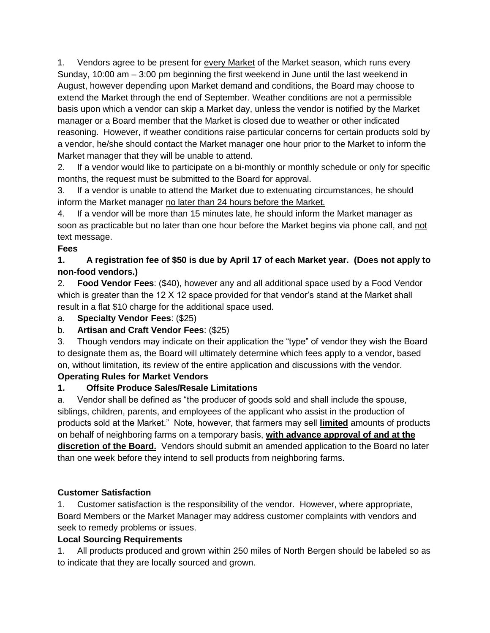1. Vendors agree to be present for every Market of the Market season, which runs every Sunday, 10:00 am – 3:00 pm beginning the first weekend in June until the last weekend in August, however depending upon Market demand and conditions, the Board may choose to extend the Market through the end of September. Weather conditions are not a permissible basis upon which a vendor can skip a Market day, unless the vendor is notified by the Market manager or a Board member that the Market is closed due to weather or other indicated reasoning. However, if weather conditions raise particular concerns for certain products sold by a vendor, he/she should contact the Market manager one hour prior to the Market to inform the Market manager that they will be unable to attend.

2. If a vendor would like to participate on a bi-monthly or monthly schedule or only for specific months, the request must be submitted to the Board for approval.

3. If a vendor is unable to attend the Market due to extenuating circumstances, he should inform the Market manager no later than 24 hours before the Market.

4. If a vendor will be more than 15 minutes late, he should inform the Market manager as soon as practicable but no later than one hour before the Market begins via phone call, and not text message.

# **Fees**

#### **1. A registration fee of \$50 is due by April 17 of each Market year. (Does not apply to non-food vendors.)**

2. **Food Vendor Fees**: (\$40), however any and all additional space used by a Food Vendor which is greater than the 12 X 12 space provided for that vendor's stand at the Market shall result in a flat \$10 charge for the additional space used.

#### a. **Specialty Vendor Fees**: (\$25)

# b. **Artisan and Craft Vendor Fees**: (\$25)

3. Though vendors may indicate on their application the "type" of vendor they wish the Board to designate them as, the Board will ultimately determine which fees apply to a vendor, based on, without limitation, its review of the entire application and discussions with the vendor.

# **Operating Rules for Market Vendors**

# **1. Offsite Produce Sales/Resale Limitations**

a. Vendor shall be defined as "the producer of goods sold and shall include the spouse, siblings, children, parents, and employees of the applicant who assist in the production of products sold at the Market." Note, however, that farmers may sell **limited** amounts of products on behalf of neighboring farms on a temporary basis, **with advance approval of and at the discretion of the Board.** Vendors should submit an amended application to the Board no later than one week before they intend to sell products from neighboring farms.

# **Customer Satisfaction**

1. Customer satisfaction is the responsibility of the vendor. However, where appropriate, Board Members or the Market Manager may address customer complaints with vendors and seek to remedy problems or issues.

# **Local Sourcing Requirements**

1. All products produced and grown within 250 miles of North Bergen should be labeled so as to indicate that they are locally sourced and grown.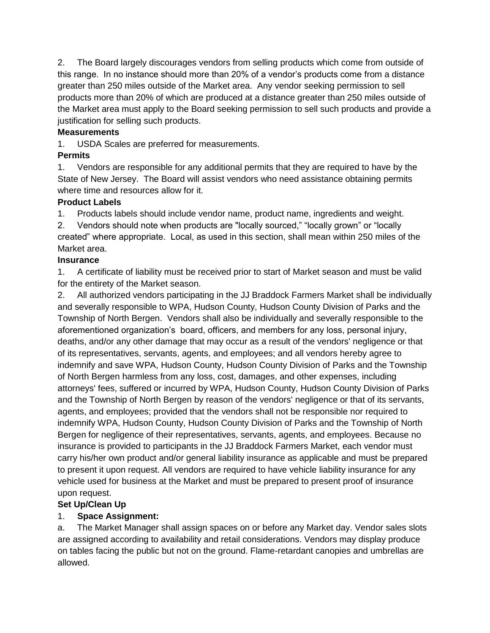2. The Board largely discourages vendors from selling products which come from outside of this range. In no instance should more than 20% of a vendor's products come from a distance greater than 250 miles outside of the Market area. Any vendor seeking permission to sell products more than 20% of which are produced at a distance greater than 250 miles outside of the Market area must apply to the Board seeking permission to sell such products and provide a justification for selling such products.

#### **Measurements**

1. USDA Scales are preferred for measurements.

### **Permits**

1. Vendors are responsible for any additional permits that they are required to have by the State of New Jersey. The Board will assist vendors who need assistance obtaining permits where time and resources allow for it.

### **Product Labels**

1. Products labels should include vendor name, product name, ingredients and weight.

2. Vendors should note when products are "locally sourced," "locally grown" or "locally created" where appropriate. Local, as used in this section, shall mean within 250 miles of the Market area.

### **Insurance**

1. A certificate of liability must be received prior to start of Market season and must be valid for the entirety of the Market season.

2. All authorized vendors participating in the JJ Braddock Farmers Market shall be individually and severally responsible to WPA, Hudson County, Hudson County Division of Parks and the Township of North Bergen. Vendors shall also be individually and severally responsible to the aforementioned organization's board, officers, and members for any loss, personal injury, deaths, and/or any other damage that may occur as a result of the vendors' negligence or that of its representatives, servants, agents, and employees; and all vendors hereby agree to indemnify and save WPA, Hudson County, Hudson County Division of Parks and the Township of North Bergen harmless from any loss, cost, damages, and other expenses, including attorneys' fees, suffered or incurred by WPA, Hudson County, Hudson County Division of Parks and the Township of North Bergen by reason of the vendors' negligence or that of its servants, agents, and employees; provided that the vendors shall not be responsible nor required to indemnify WPA, Hudson County, Hudson County Division of Parks and the Township of North Bergen for negligence of their representatives, servants, agents, and employees. Because no insurance is provided to participants in the JJ Braddock Farmers Market, each vendor must carry his/her own product and/or general liability insurance as applicable and must be prepared to present it upon request. All vendors are required to have vehicle liability insurance for any vehicle used for business at the Market and must be prepared to present proof of insurance upon request.

# **Set Up/Clean Up**

# 1. **Space Assignment:**

a. The Market Manager shall assign spaces on or before any Market day. Vendor sales slots are assigned according to availability and retail considerations. Vendors may display produce on tables facing the public but not on the ground. Flame-retardant canopies and umbrellas are allowed.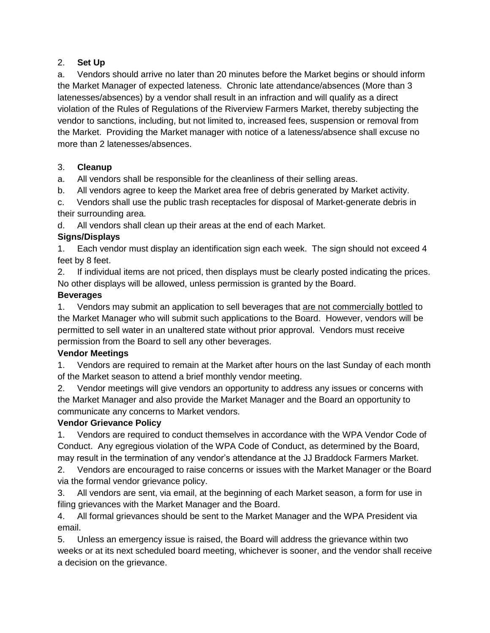### 2. **Set Up**

a. Vendors should arrive no later than 20 minutes before the Market begins or should inform the Market Manager of expected lateness. Chronic late attendance/absences (More than 3 latenesses/absences) by a vendor shall result in an infraction and will qualify as a direct violation of the Rules of Regulations of the Riverview Farmers Market, thereby subjecting the vendor to sanctions, including, but not limited to, increased fees, suspension or removal from the Market. Providing the Market manager with notice of a lateness/absence shall excuse no more than 2 latenesses/absences.

### 3. **Cleanup**

a. All vendors shall be responsible for the cleanliness of their selling areas.

b. All vendors agree to keep the Market area free of debris generated by Market activity.

c. Vendors shall use the public trash receptacles for disposal of Market-generate debris in their surrounding area.

d. All vendors shall clean up their areas at the end of each Market.

### **Signs/Displays**

1. Each vendor must display an identification sign each week. The sign should not exceed 4 feet by 8 feet.

2. If individual items are not priced, then displays must be clearly posted indicating the prices. No other displays will be allowed, unless permission is granted by the Board.

### **Beverages**

1. Vendors may submit an application to sell beverages that are not commercially bottled to the Market Manager who will submit such applications to the Board. However, vendors will be permitted to sell water in an unaltered state without prior approval. Vendors must receive permission from the Board to sell any other beverages.

# **Vendor Meetings**

1. Vendors are required to remain at the Market after hours on the last Sunday of each month of the Market season to attend a brief monthly vendor meeting.

2. Vendor meetings will give vendors an opportunity to address any issues or concerns with the Market Manager and also provide the Market Manager and the Board an opportunity to communicate any concerns to Market vendors.

# **Vendor Grievance Policy**

1. Vendors are required to conduct themselves in accordance with the WPA Vendor Code of Conduct. Any egregious violation of the WPA Code of Conduct, as determined by the Board, may result in the termination of any vendor's attendance at the JJ Braddock Farmers Market.

2. Vendors are encouraged to raise concerns or issues with the Market Manager or the Board via the formal vendor grievance policy.

3. All vendors are sent, via email, at the beginning of each Market season, a form for use in filing grievances with the Market Manager and the Board.

4. All formal grievances should be sent to the Market Manager and the WPA President via email.

5. Unless an emergency issue is raised, the Board will address the grievance within two weeks or at its next scheduled board meeting, whichever is sooner, and the vendor shall receive a decision on the grievance.